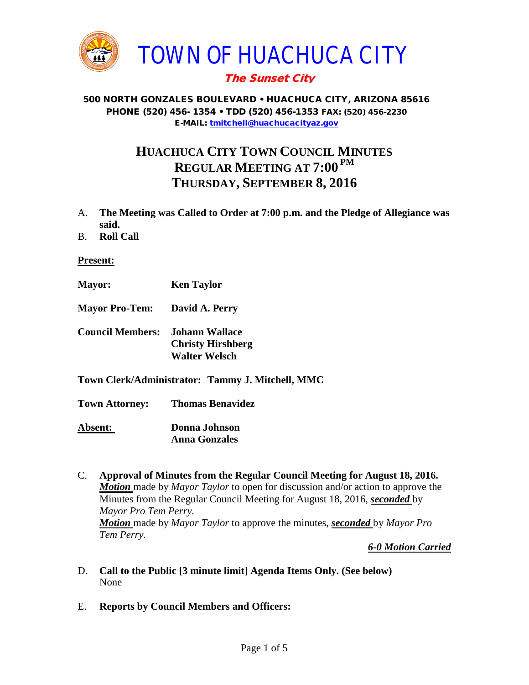

# The Sunset City

#### 500 NORTH GONZALES BOULEVARD • HUACHUCA CITY, ARIZONA 85616 PHONE (520) 456- 1354 • TDD (520) 456-1353 FAX: (520) 456-2230 E-MAIL: [tmitchell@huachucacityaz.gov](mailto:tmitchell@huachucacityaz.gov)

# **HUACHUCA CITY TOWN COUNCIL MINUTES REGULAR MEETING AT 7:00 PM THURSDAY, SEPTEMBER 8, 2016**

- A. **The Meeting was Called to Order at 7:00 p.m. and the Pledge of Allegiance was said.**
- B. **Roll Call**

**Present:**

- **Mayor: Ken Taylor**
- **Mayor Pro-Tem: David A. Perry**
- **Council Members: Johann Wallace Christy Hirshberg Walter Welsch**
- **Town Clerk/Administrator: Tammy J. Mitchell, MMC**

**Town Attorney: Thomas Benavidez**

**Absent: Donna Johnson Anna Gonzales**

C. **Approval of Minutes from the Regular Council Meeting for August 18, 2016.** *Motion* made by *Mayor Taylor* to open for discussion and/or action to approve the Minutes from the Regular Council Meeting for August 18, 2016, *seconded* by *Mayor Pro Tem Perry. Motion* made by *Mayor Taylor* to approve the minutes, *seconded* by *Mayor Pro Tem Perry.*

*6-0 Motion Carried*

- D. **Call to the Public [3 minute limit] Agenda Items Only. (See below)** None
- E. **Reports by Council Members and Officers:**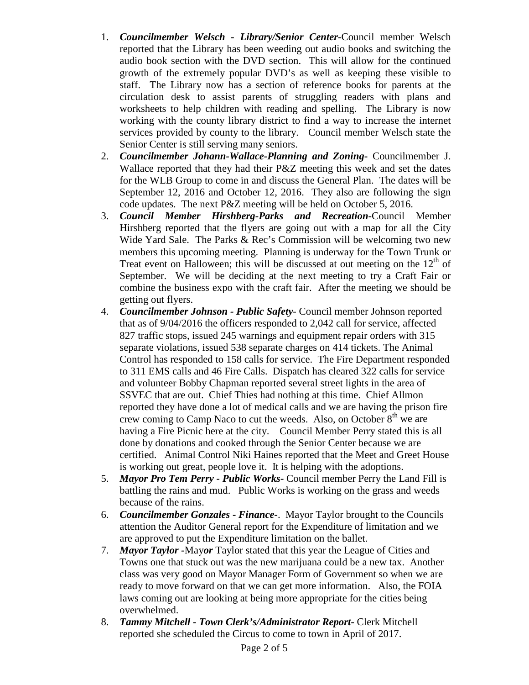- 1. *Councilmember Welsch - Library/Senior Center***-**Council member Welsch reported that the Library has been weeding out audio books and switching the audio book section with the DVD section. This will allow for the continued growth of the extremely popular DVD's as well as keeping these visible to staff. The Library now has a section of reference books for parents at the circulation desk to assist parents of struggling readers with plans and worksheets to help children with reading and spelling. The Library is now working with the county library district to find a way to increase the internet services provided by county to the library. Council member Welsch state the Senior Center is still serving many seniors.
- 2. *Councilmember Johann-Wallace-Planning and Zoning***-** Councilmember J. Wallace reported that they had their P&Z meeting this week and set the dates for the WLB Group to come in and discuss the General Plan. The dates will be September 12, 2016 and October 12, 2016. They also are following the sign code updates. The next P&Z meeting will be held on October 5, 2016.
- 3. *Council Member Hirshberg-Parks and Recreation***-**Council Member Hirshberg reported that the flyers are going out with a map for all the City Wide Yard Sale. The Parks & Rec's Commission will be welcoming two new members this upcoming meeting. Planning is underway for the Town Trunk or Treat event on Halloween; this will be discussed at out meeting on the  $12<sup>th</sup>$  of September. We will be deciding at the next meeting to try a Craft Fair or combine the business expo with the craft fair. After the meeting we should be getting out flyers.
- 4. *Councilmember Johnson - Public Safety-* Council member Johnson reported that as of 9/04/2016 the officers responded to 2,042 call for service, affected 827 traffic stops, issued 245 warnings and equipment repair orders with 315 separate violations, issued 538 separate charges on 414 tickets. The Animal Control has responded to 158 calls for service. The Fire Department responded to 311 EMS calls and 46 Fire Calls. Dispatch has cleared 322 calls for service and volunteer Bobby Chapman reported several street lights in the area of SSVEC that are out. Chief Thies had nothing at this time. Chief Allmon reported they have done a lot of medical calls and we are having the prison fire crew coming to Camp Naco to cut the weeds. Also, on October  $8<sup>th</sup>$  we are having a Fire Picnic here at the city. Council Member Perry stated this is all done by donations and cooked through the Senior Center because we are certified. Animal Control Niki Haines reported that the Meet and Greet House is working out great, people love it. It is helping with the adoptions.
- 5. *Mayor Pro Tem Perry - Public Works-* Council member Perry the Land Fill is battling the rains and mud. Public Works is working on the grass and weeds because of the rains.
- 6. *Councilmember Gonzales - Finance-*. Mayor Taylor brought to the Councils attention the Auditor General report for the Expenditure of limitation and we are approved to put the Expenditure limitation on the ballet.
- 7. *Mayor Taylor -*May*or* Taylor stated that this year the League of Cities and Towns one that stuck out was the new marijuana could be a new tax. Another class was very good on Mayor Manager Form of Government so when we are ready to move forward on that we can get more information. Also, the FOIA laws coming out are looking at being more appropriate for the cities being overwhelmed.
- 8. *Tammy Mitchell - Town Clerk's/Administrator Report-* Clerk Mitchell reported she scheduled the Circus to come to town in April of 2017.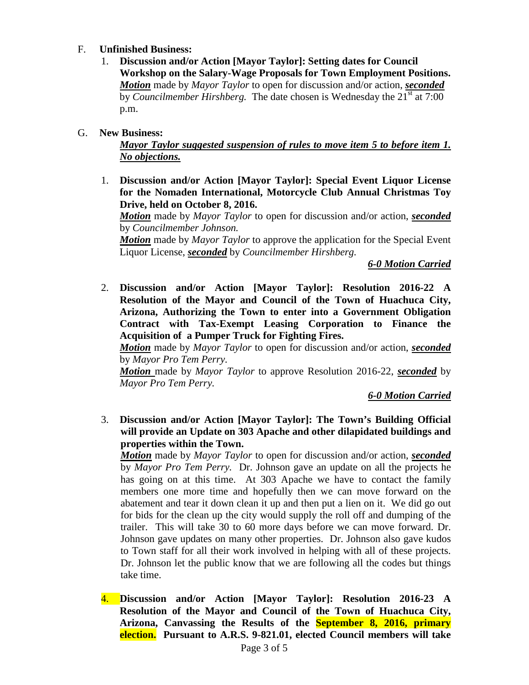#### F. **Unfinished Business:**

1. **Discussion and/or Action [Mayor Taylor]: Setting dates for Council Workshop on the Salary-Wage Proposals for Town Employment Positions.** *Motion* made by *Mayor Taylor* to open for discussion and/or action, *seconded* by *Councilmember Hirshberg*. The date chosen is Wednesday the 21<sup>st</sup> at 7:00 p.m.

#### G. **New Business:**

*Mayor Taylor suggested suspension of rules to move item 5 to before item 1. No objections.*

1. **Discussion and/or Action [Mayor Taylor]: Special Event Liquor License for the Nomaden International, Motorcycle Club Annual Christmas Toy Drive, held on October 8, 2016.**

*Motion* made by *Mayor Taylor* to open for discussion and/or action, *seconded* by *Councilmember Johnson.*

*Motion* made by *Mayor Taylor* to approve the application for the Special Event Liquor License, *seconded* by *Councilmember Hirshberg.*

*6-0 Motion Carried*

2. **Discussion and/or Action [Mayor Taylor]: Resolution 2016-22 A Resolution of the Mayor and Council of the Town of Huachuca City, Arizona, Authorizing the Town to enter into a Government Obligation Contract with Tax-Exempt Leasing Corporation to Finance the Acquisition of a Pumper Truck for Fighting Fires.**

*Motion* made by *Mayor Taylor* to open for discussion and/or action, *seconded* by *Mayor Pro Tem Perry.*

*Motion* made by *Mayor Taylor* to approve Resolution 2016-22, *seconded* by *Mayor Pro Tem Perry.*

*6-0 Motion Carried*

3. **Discussion and/or Action [Mayor Taylor]: The Town's Building Official will provide an Update on 303 Apache and other dilapidated buildings and properties within the Town.**

*Motion* made by *Mayor Taylor* to open for discussion and/or action, *seconded* by *Mayor Pro Tem Perry.* Dr. Johnson gave an update on all the projects he has going on at this time. At 303 Apache we have to contact the family members one more time and hopefully then we can move forward on the abatement and tear it down clean it up and then put a lien on it. We did go out for bids for the clean up the city would supply the roll off and dumping of the trailer. This will take 30 to 60 more days before we can move forward. Dr. Johnson gave updates on many other properties. Dr. Johnson also gave kudos to Town staff for all their work involved in helping with all of these projects. Dr. Johnson let the public know that we are following all the codes but things take time.

4. **Discussion and/or Action [Mayor Taylor]: Resolution 2016-23 A Resolution of the Mayor and Council of the Town of Huachuca City, Arizona, Canvassing the Results of the September 8, 2016, primary election. Pursuant to A.R.S. 9-821.01, elected Council members will take**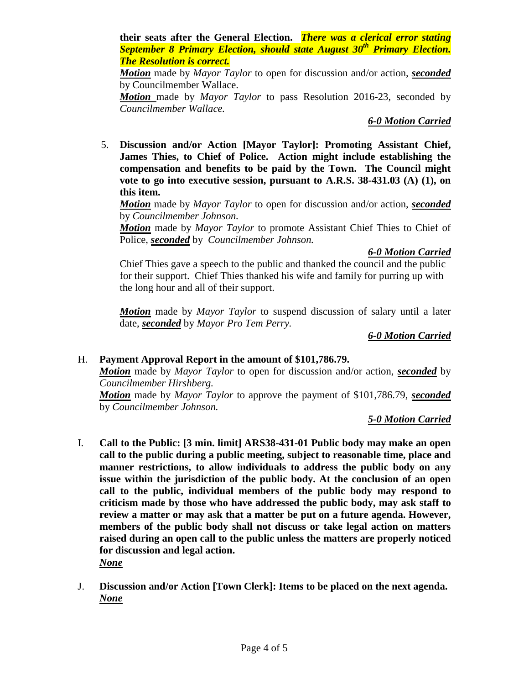**their seats after the General Election.** *There was a clerical error stating September 8 Primary Election, should state August 30th Primary Election. The Resolution is correct.*

*Motion* made by *Mayor Taylor* to open for discussion and/or action, *seconded* by Councilmember Wallace.

*Motion* made by *Mayor Taylor* to pass Resolution 2016-23, seconded by *Councilmember Wallace.*

## *6-0 Motion Carried*

5. **Discussion and/or Action [Mayor Taylor]: Promoting Assistant Chief, James Thies, to Chief of Police. Action might include establishing the compensation and benefits to be paid by the Town. The Council might vote to go into executive session, pursuant to A.R.S. 38-431.03 (A) (1), on this item.**

*Motion* made by *Mayor Taylor* to open for discussion and/or action, *seconded* by *Councilmember Johnson.* 

*Motion* made by *Mayor Taylor* to promote Assistant Chief Thies to Chief of Police, *seconded* by *Councilmember Johnson.*

## *6-0 Motion Carried*

Chief Thies gave a speech to the public and thanked the council and the public for their support. Chief Thies thanked his wife and family for purring up with the long hour and all of their support.

*Motion* made by *Mayor Taylor* to suspend discussion of salary until a later date, *seconded* by *Mayor Pro Tem Perry.*

*6-0 Motion Carried*

## H. **Payment Approval Report in the amount of \$101,786.79.**

*Motion* made by *Mayor Taylor* to open for discussion and/or action, *seconded* by *Councilmember Hirshberg.*

*Motion* made by *Mayor Taylor* to approve the payment of \$101,786.79, *seconded* by *Councilmember Johnson.*

## *5-0 Motion Carried*

I. **Call to the Public: [3 min. limit] ARS38-431-01 Public body may make an open call to the public during a public meeting, subject to reasonable time, place and manner restrictions, to allow individuals to address the public body on any issue within the jurisdiction of the public body. At the conclusion of an open call to the public, individual members of the public body may respond to criticism made by those who have addressed the public body, may ask staff to review a matter or may ask that a matter be put on a future agenda. However, members of the public body shall not discuss or take legal action on matters raised during an open call to the public unless the matters are properly noticed for discussion and legal action.**

*None*

J. **Discussion and/or Action [Town Clerk]: Items to be placed on the next agenda.** *None*